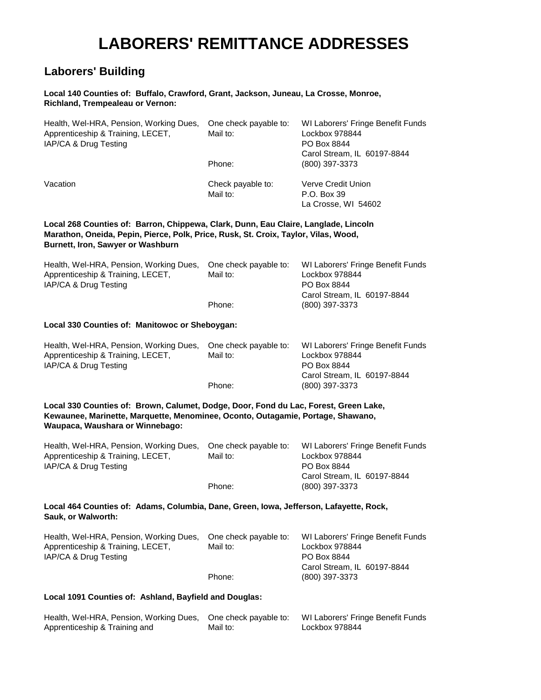## **LABORERS' REMITTANCE ADDRESSES**

### **Laborers' Building**

#### **Local 140 Counties of: Buffalo, Crawford, Grant, Jackson, Juneau, La Crosse, Monroe, Richland, Trempealeau or Vernon:**

| Health, Wel-HRA, Pension, Working Dues,<br>Apprenticeship & Training, LECET,<br>IAP/CA & Drug Testing                                                                                                           | One check payable to:<br>Mail to: | WI Laborers' Fringe Benefit Funds<br>Lockbox 978844<br>PO Box 8844<br>Carol Stream, IL 60197-8844 |  |
|-----------------------------------------------------------------------------------------------------------------------------------------------------------------------------------------------------------------|-----------------------------------|---------------------------------------------------------------------------------------------------|--|
|                                                                                                                                                                                                                 | Phone:                            | (800) 397-3373                                                                                    |  |
| Vacation                                                                                                                                                                                                        | Check payable to:<br>Mail to:     | Verve Credit Union<br>P.O. Box 39<br>La Crosse, WI 54602                                          |  |
| Local 268 Counties of: Barron, Chippewa, Clark, Dunn, Eau Claire, Langlade, Lincoln<br>Marathon, Oneida, Pepin, Pierce, Polk, Price, Rusk, St. Croix, Taylor, Vilas, Wood,<br>Burnett, Iron, Sawyer or Washburn |                                   |                                                                                                   |  |
| Health, Wel-HRA, Pension, Working Dues,<br>Apprenticeship & Training, LECET,<br>IAP/CA & Drug Testing                                                                                                           | One check payable to:<br>Mail to: | WI Laborers' Fringe Benefit Funds<br>Lockbox 978844<br>PO Box 8844<br>Carol Stream, IL 60197-8844 |  |
|                                                                                                                                                                                                                 | Phone:                            | (800) 397-3373                                                                                    |  |
| Local 330 Counties of: Manitowoc or Sheboygan:                                                                                                                                                                  |                                   |                                                                                                   |  |
| Health, Wel-HRA, Pension, Working Dues,<br>Apprenticeship & Training, LECET,<br>IAP/CA & Drug Testing                                                                                                           | One check payable to:<br>Mail to: | WI Laborers' Fringe Benefit Funds<br>Lockbox 978844<br>PO Box 8844<br>Carol Stream, IL 60197-8844 |  |
|                                                                                                                                                                                                                 | Phone:                            | (800) 397-3373                                                                                    |  |
| Local 330 Counties of: Brown, Calumet, Dodge, Door, Fond du Lac, Forest, Green Lake,<br>Kewaunee, Marinette, Marquette, Menominee, Oconto, Outagamie, Portage, Shawano,<br>Waupaca, Waushara or Winnebago:      |                                   |                                                                                                   |  |
| Health, Wel-HRA, Pension, Working Dues,<br>Apprenticeship & Training, LECET,<br>IAP/CA & Drug Testing                                                                                                           | One check payable to:<br>Mail to: | WI Laborers' Fringe Benefit Funds<br>Lockbox 978844<br>PO Box 8844                                |  |
|                                                                                                                                                                                                                 | Phone:                            | Carol Stream, IL 60197-8844<br>(800) 397-3373                                                     |  |
| Local 464 Counties of: Adams, Columbia, Dane, Green, Iowa, Jefferson, Lafayette, Rock,<br>Sauk, or Walworth:                                                                                                    |                                   |                                                                                                   |  |
| Health, Wel-HRA, Pension, Working Dues,<br>Apprenticeship & Training, LECET,<br>IAP/CA & Drug Testing                                                                                                           | One check payable to:<br>Mail to: | WI Laborers' Fringe Benefit Funds<br>Lockbox 978844<br>PO Box 8844<br>Carol Stream, IL 60197-8844 |  |
|                                                                                                                                                                                                                 | Phone:                            | (800) 397-3373                                                                                    |  |
| Local 1091 Counties of: Ashland, Bayfield and Douglas:                                                                                                                                                          |                                   |                                                                                                   |  |
| Health, Wel-HRA, Pension, Working Dues,<br>Apprenticeship & Training and                                                                                                                                        | One check payable to:<br>Mail to: | WI Laborers' Fringe Benefit Funds<br>Lockbox 978844                                               |  |